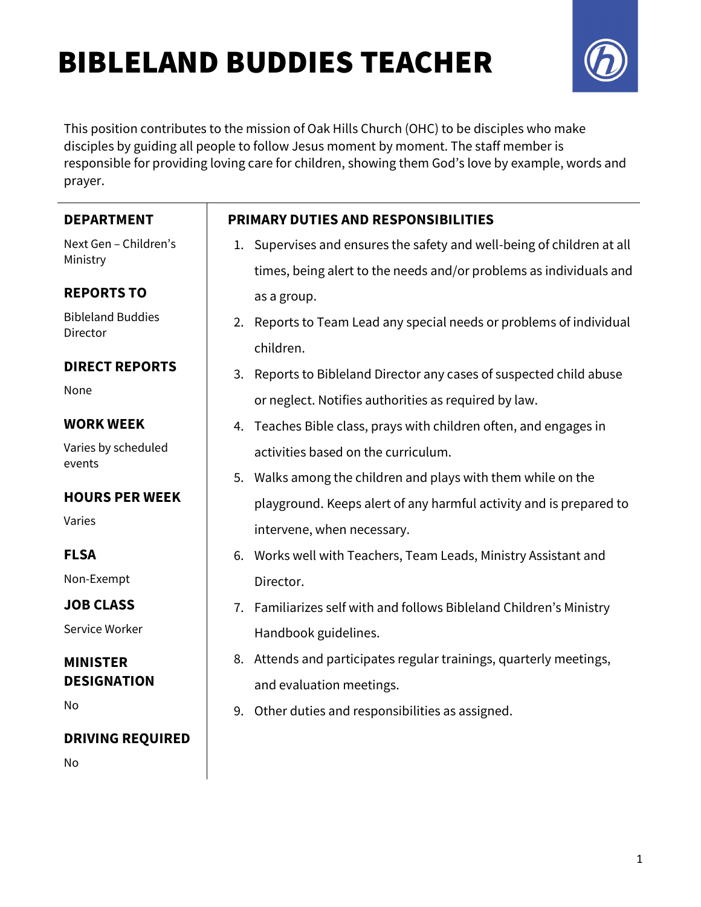# BIBLELAND BUDDIES TEACHER

 $\overline{\phantom{a}}$ 



This position contributes to the mission of Oak Hills Church (OHC) to be disciples who make disciples by guiding all people to follow Jesus moment by moment. The staff member is responsible for providing loving care for children, showing them God's love by example, words and prayer.

| <b>DEPARTMENT</b>                    |    | <b>PRIMARY DUTIES AND RESPONSIBILITIES</b>                             |
|--------------------------------------|----|------------------------------------------------------------------------|
| Next Gen - Children's<br>Ministry    |    | 1. Supervises and ensures the safety and well-being of children at all |
|                                      |    | times, being alert to the needs and/or problems as individuals and     |
| <b>REPORTS TO</b>                    |    | as a group.                                                            |
| <b>Bibleland Buddies</b><br>Director |    | 2. Reports to Team Lead any special needs or problems of individual    |
| <b>DIRECT REPORTS</b>                |    | children.                                                              |
| None                                 |    | 3. Reports to Bibleland Director any cases of suspected child abuse    |
|                                      |    | or neglect. Notifies authorities as required by law.                   |
| <b>WORK WEEK</b>                     |    | 4. Teaches Bible class, prays with children often, and engages in      |
| Varies by scheduled<br>events        |    | activities based on the curriculum.                                    |
|                                      |    | 5. Walks among the children and plays with them while on the           |
| <b>HOURS PER WEEK</b>                |    | playground. Keeps alert of any harmful activity and is prepared to     |
| Varies                               |    | intervene, when necessary.                                             |
| <b>FLSA</b>                          |    | 6. Works well with Teachers, Team Leads, Ministry Assistant and        |
| Non-Exempt                           |    | Director.                                                              |
| <b>JOB CLASS</b>                     | 7. | Familiarizes self with and follows Bibleland Children's Ministry       |
| Service Worker                       |    | Handbook guidelines.                                                   |
| <b>MINISTER</b>                      |    | 8. Attends and participates regular trainings, quarterly meetings,     |
| <b>DESIGNATION</b>                   |    | and evaluation meetings.                                               |
| No                                   |    | 9. Other duties and responsibilities as assigned.                      |
| <b>DRIVING REQUIRED</b>              |    |                                                                        |
| No                                   |    |                                                                        |
|                                      |    |                                                                        |